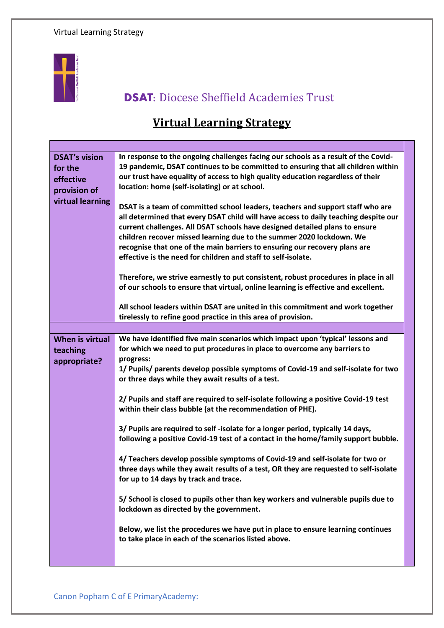

## **DSAT:** Diocese Sheffield Academies Trust

## **Virtual Learning Strategy**

| <b>DSAT's vision</b><br>for the<br>effective<br>provision of<br>virtual learning | In response to the ongoing challenges facing our schools as a result of the Covid-<br>19 pandemic, DSAT continues to be committed to ensuring that all children within<br>our trust have equality of access to high quality education regardless of their<br>location: home (self-isolating) or at school.                                                                                                                                                                  |
|----------------------------------------------------------------------------------|-----------------------------------------------------------------------------------------------------------------------------------------------------------------------------------------------------------------------------------------------------------------------------------------------------------------------------------------------------------------------------------------------------------------------------------------------------------------------------|
|                                                                                  | DSAT is a team of committed school leaders, teachers and support staff who are<br>all determined that every DSAT child will have access to daily teaching despite our<br>current challenges. All DSAT schools have designed detailed plans to ensure<br>children recover missed learning due to the summer 2020 lockdown. We<br>recognise that one of the main barriers to ensuring our recovery plans are<br>effective is the need for children and staff to self-isolate. |
|                                                                                  | Therefore, we strive earnestly to put consistent, robust procedures in place in all<br>of our schools to ensure that virtual, online learning is effective and excellent.                                                                                                                                                                                                                                                                                                   |
|                                                                                  | All school leaders within DSAT are united in this commitment and work together<br>tirelessly to refine good practice in this area of provision.                                                                                                                                                                                                                                                                                                                             |
|                                                                                  |                                                                                                                                                                                                                                                                                                                                                                                                                                                                             |
| When is virtual<br>teaching<br>appropriate?                                      | We have identified five main scenarios which impact upon 'typical' lessons and<br>for which we need to put procedures in place to overcome any barriers to<br>progress:                                                                                                                                                                                                                                                                                                     |
|                                                                                  | 1/ Pupils/ parents develop possible symptoms of Covid-19 and self-isolate for two<br>or three days while they await results of a test.                                                                                                                                                                                                                                                                                                                                      |
|                                                                                  | 2/ Pupils and staff are required to self-isolate following a positive Covid-19 test<br>within their class bubble (at the recommendation of PHE).                                                                                                                                                                                                                                                                                                                            |
|                                                                                  | 3/ Pupils are required to self-isolate for a longer period, typically 14 days,<br>following a positive Covid-19 test of a contact in the home/family support bubble.                                                                                                                                                                                                                                                                                                        |
|                                                                                  | 4/ Teachers develop possible symptoms of Covid-19 and self-isolate for two or<br>three days while they await results of a test, OR they are requested to self-isolate<br>for up to 14 days by track and trace.                                                                                                                                                                                                                                                              |
|                                                                                  | 5/ School is closed to pupils other than key workers and vulnerable pupils due to<br>lockdown as directed by the government.                                                                                                                                                                                                                                                                                                                                                |
|                                                                                  | Below, we list the procedures we have put in place to ensure learning continues<br>to take place in each of the scenarios listed above.                                                                                                                                                                                                                                                                                                                                     |
|                                                                                  |                                                                                                                                                                                                                                                                                                                                                                                                                                                                             |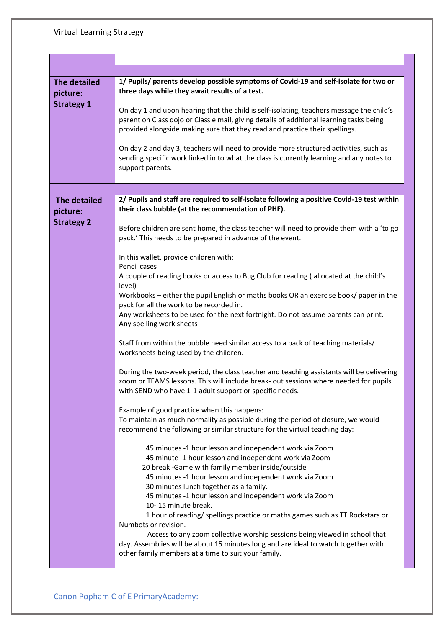| The detailed<br>picture:<br><b>Strategy 1</b>        | 1/ Pupils/ parents develop possible symptoms of Covid-19 and self-isolate for two or<br>three days while they await results of a test.<br>On day 1 and upon hearing that the child is self-isolating, teachers message the child's<br>parent on Class dojo or Class e mail, giving details of additional learning tasks being<br>provided alongside making sure that they read and practice their spellings.<br>On day 2 and day 3, teachers will need to provide more structured activities, such as<br>sending specific work linked in to what the class is currently learning and any notes to<br>support parents. |
|------------------------------------------------------|-----------------------------------------------------------------------------------------------------------------------------------------------------------------------------------------------------------------------------------------------------------------------------------------------------------------------------------------------------------------------------------------------------------------------------------------------------------------------------------------------------------------------------------------------------------------------------------------------------------------------|
|                                                      |                                                                                                                                                                                                                                                                                                                                                                                                                                                                                                                                                                                                                       |
| <b>The detailed</b><br>picture:<br><b>Strategy 2</b> | 2/ Pupils and staff are required to self-isolate following a positive Covid-19 test within<br>their class bubble (at the recommendation of PHE).                                                                                                                                                                                                                                                                                                                                                                                                                                                                      |
|                                                      | Before children are sent home, the class teacher will need to provide them with a 'to go<br>pack.' This needs to be prepared in advance of the event.                                                                                                                                                                                                                                                                                                                                                                                                                                                                 |
|                                                      | In this wallet, provide children with:<br>Pencil cases                                                                                                                                                                                                                                                                                                                                                                                                                                                                                                                                                                |
|                                                      | A couple of reading books or access to Bug Club for reading (allocated at the child's<br>level)                                                                                                                                                                                                                                                                                                                                                                                                                                                                                                                       |
|                                                      | Workbooks - either the pupil English or maths books OR an exercise book/ paper in the<br>pack for all the work to be recorded in.<br>Any worksheets to be used for the next fortnight. Do not assume parents can print.<br>Any spelling work sheets                                                                                                                                                                                                                                                                                                                                                                   |
|                                                      | Staff from within the bubble need similar access to a pack of teaching materials/<br>worksheets being used by the children.                                                                                                                                                                                                                                                                                                                                                                                                                                                                                           |
|                                                      | During the two-week period, the class teacher and teaching assistants will be delivering<br>zoom or TEAMS lessons. This will include break- out sessions where needed for pupils<br>with SEND who have 1-1 adult support or specific needs.                                                                                                                                                                                                                                                                                                                                                                           |
|                                                      | Example of good practice when this happens:                                                                                                                                                                                                                                                                                                                                                                                                                                                                                                                                                                           |
|                                                      | To maintain as much normality as possible during the period of closure, we would<br>recommend the following or similar structure for the virtual teaching day:                                                                                                                                                                                                                                                                                                                                                                                                                                                        |
|                                                      | 45 minutes -1 hour lesson and independent work via Zoom<br>45 minute -1 hour lesson and independent work via Zoom                                                                                                                                                                                                                                                                                                                                                                                                                                                                                                     |
|                                                      | 20 break -Game with family member inside/outside                                                                                                                                                                                                                                                                                                                                                                                                                                                                                                                                                                      |
|                                                      | 45 minutes -1 hour lesson and independent work via Zoom<br>30 minutes lunch together as a family.                                                                                                                                                                                                                                                                                                                                                                                                                                                                                                                     |
|                                                      | 45 minutes -1 hour lesson and independent work via Zoom<br>10-15 minute break.                                                                                                                                                                                                                                                                                                                                                                                                                                                                                                                                        |
|                                                      | 1 hour of reading/ spellings practice or maths games such as TT Rockstars or<br>Numbots or revision.                                                                                                                                                                                                                                                                                                                                                                                                                                                                                                                  |
|                                                      | Access to any zoom collective worship sessions being viewed in school that<br>day. Assemblies will be about 15 minutes long and are ideal to watch together with<br>other family members at a time to suit your family.                                                                                                                                                                                                                                                                                                                                                                                               |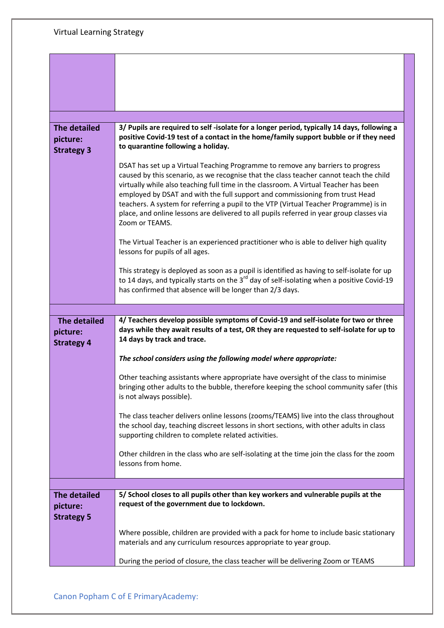| <b>The detailed</b><br>picture:<br><b>Strategy 3</b> | 3/ Pupils are required to self-isolate for a longer period, typically 14 days, following a<br>positive Covid-19 test of a contact in the home/family support bubble or if they need<br>to quarantine following a holiday.                                                                                                                                                                                                                                                                                                                                |
|------------------------------------------------------|----------------------------------------------------------------------------------------------------------------------------------------------------------------------------------------------------------------------------------------------------------------------------------------------------------------------------------------------------------------------------------------------------------------------------------------------------------------------------------------------------------------------------------------------------------|
|                                                      | DSAT has set up a Virtual Teaching Programme to remove any barriers to progress<br>caused by this scenario, as we recognise that the class teacher cannot teach the child<br>virtually while also teaching full time in the classroom. A Virtual Teacher has been<br>employed by DSAT and with the full support and commissioning from trust Head<br>teachers. A system for referring a pupil to the VTP (Virtual Teacher Programme) is in<br>place, and online lessons are delivered to all pupils referred in year group classes via<br>Zoom or TEAMS. |
|                                                      | The Virtual Teacher is an experienced practitioner who is able to deliver high quality<br>lessons for pupils of all ages.                                                                                                                                                                                                                                                                                                                                                                                                                                |
|                                                      | This strategy is deployed as soon as a pupil is identified as having to self-isolate for up<br>to 14 days, and typically starts on the 3 <sup>rd</sup> day of self-isolating when a positive Covid-19<br>has confirmed that absence will be longer than 2/3 days.                                                                                                                                                                                                                                                                                        |
|                                                      |                                                                                                                                                                                                                                                                                                                                                                                                                                                                                                                                                          |
|                                                      |                                                                                                                                                                                                                                                                                                                                                                                                                                                                                                                                                          |
| <b>The detailed</b><br>picture:<br><b>Strategy 4</b> | 4/ Teachers develop possible symptoms of Covid-19 and self-isolate for two or three<br>days while they await results of a test, OR they are requested to self-isolate for up to<br>14 days by track and trace.                                                                                                                                                                                                                                                                                                                                           |
|                                                      | The school considers using the following model where appropriate:                                                                                                                                                                                                                                                                                                                                                                                                                                                                                        |
|                                                      | Other teaching assistants where appropriate have oversight of the class to minimise<br>bringing other adults to the bubble, therefore keeping the school community safer (this<br>is not always possible).                                                                                                                                                                                                                                                                                                                                               |
|                                                      | The class teacher delivers online lessons (zooms/TEAMS) live into the class throughout<br>the school day, teaching discreet lessons in short sections, with other adults in class<br>supporting children to complete related activities.                                                                                                                                                                                                                                                                                                                 |
|                                                      | Other children in the class who are self-isolating at the time join the class for the zoom<br>lessons from home.                                                                                                                                                                                                                                                                                                                                                                                                                                         |
|                                                      |                                                                                                                                                                                                                                                                                                                                                                                                                                                                                                                                                          |
| <b>The detailed</b><br>picture:<br><b>Strategy 5</b> | 5/ School closes to all pupils other than key workers and vulnerable pupils at the<br>request of the government due to lockdown.                                                                                                                                                                                                                                                                                                                                                                                                                         |
|                                                      | Where possible, children are provided with a pack for home to include basic stationary<br>materials and any curriculum resources appropriate to year group.                                                                                                                                                                                                                                                                                                                                                                                              |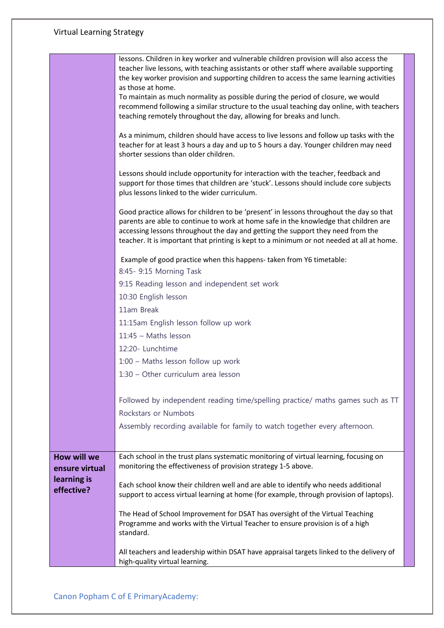## Virtual Learning Strategy

|                | lessons. Children in key worker and vulnerable children provision will also access the                                                                                              |
|----------------|-------------------------------------------------------------------------------------------------------------------------------------------------------------------------------------|
|                | teacher live lessons, with teaching assistants or other staff where available supporting<br>the key worker provision and supporting children to access the same learning activities |
|                | as those at home.                                                                                                                                                                   |
|                | To maintain as much normality as possible during the period of closure, we would<br>recommend following a similar structure to the usual teaching day online, with teachers         |
|                | teaching remotely throughout the day, allowing for breaks and lunch.                                                                                                                |
|                |                                                                                                                                                                                     |
|                | As a minimum, children should have access to live lessons and follow up tasks with the<br>teacher for at least 3 hours a day and up to 5 hours a day. Younger children may need     |
|                | shorter sessions than older children.                                                                                                                                               |
|                | Lessons should include opportunity for interaction with the teacher, feedback and                                                                                                   |
|                | support for those times that children are 'stuck'. Lessons should include core subjects                                                                                             |
|                | plus lessons linked to the wider curriculum.                                                                                                                                        |
|                | Good practice allows for children to be 'present' in lessons throughout the day so that                                                                                             |
|                | parents are able to continue to work at home safe in the knowledge that children are                                                                                                |
|                | accessing lessons throughout the day and getting the support they need from the<br>teacher. It is important that printing is kept to a minimum or not needed at all at home.        |
|                |                                                                                                                                                                                     |
|                | Example of good practice when this happens- taken from Y6 timetable:<br>8:45- 9:15 Morning Task                                                                                     |
|                | 9:15 Reading lesson and independent set work                                                                                                                                        |
|                | 10:30 English lesson                                                                                                                                                                |
|                | 11am Break                                                                                                                                                                          |
|                | 11:15am English lesson follow up work                                                                                                                                               |
|                | 11:45 - Maths lesson                                                                                                                                                                |
|                | 12:20- Lunchtime                                                                                                                                                                    |
|                | 1:00 - Maths lesson follow up work                                                                                                                                                  |
|                | 1:30 - Other curriculum area lesson                                                                                                                                                 |
|                |                                                                                                                                                                                     |
|                | Followed by independent reading time/spelling practice/ maths games such as TT                                                                                                      |
|                | Rockstars or Numbots                                                                                                                                                                |
|                | Assembly recording available for family to watch together every afternoon.                                                                                                          |
|                |                                                                                                                                                                                     |
| How will we    | Each school in the trust plans systematic monitoring of virtual learning, focusing on                                                                                               |
| ensure virtual | monitoring the effectiveness of provision strategy 1-5 above.                                                                                                                       |
| learning is    | Each school know their children well and are able to identify who needs additional                                                                                                  |
| effective?     | support to access virtual learning at home (for example, through provision of laptops).                                                                                             |
|                | The Head of School Improvement for DSAT has oversight of the Virtual Teaching                                                                                                       |
|                | Programme and works with the Virtual Teacher to ensure provision is of a high                                                                                                       |
|                | standard.                                                                                                                                                                           |
|                | All teachers and leadership within DSAT have appraisal targets linked to the delivery of                                                                                            |
|                | high-quality virtual learning.                                                                                                                                                      |